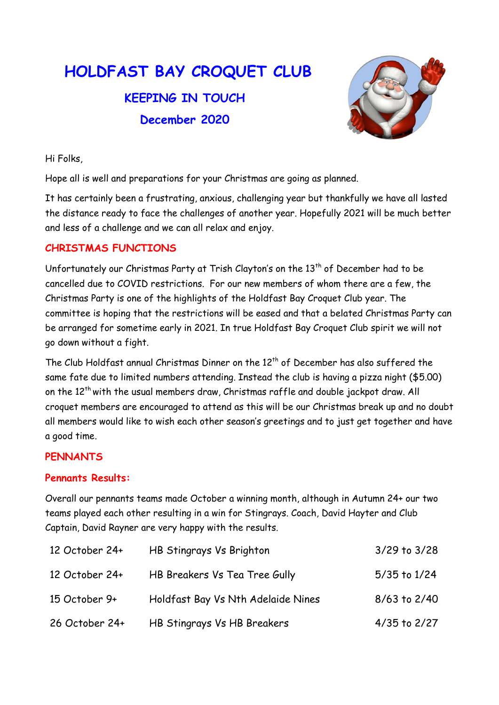# HOLDFAST BAY CROQUET CLUB KEEPING IN TOUCH December 2020



Hi Folks,

Hope all is well and preparations for your Christmas are going as planned.

It has certainly been a frustrating, anxious, challenging year but thankfully we have all lasted the distance ready to face the challenges of another year. Hopefully 2021 will be much better and less of a challenge and we can all relax and enjoy.

## CHRISTMAS FUNCTIONS

Unfortunately our Christmas Party at Trish Clayton's on the  $13<sup>th</sup>$  of December had to be cancelled due to COVID restrictions. For our new members of whom there are a few, the Christmas Party is one of the highlights of the Holdfast Bay Croquet Club year. The committee is hoping that the restrictions will be eased and that a belated Christmas Party can be arranged for sometime early in 2021. In true Holdfast Bay Croquet Club spirit we will not go down without a fight.

The Club Holdfast annual Christmas Dinner on the 12<sup>th</sup> of December has also suffered the same fate due to limited numbers attending. Instead the club is having a pizza night (\$5.00) on the 12<sup>th</sup> with the usual members draw, Christmas raffle and double jackpot draw. All croquet members are encouraged to attend as this will be our Christmas break up and no doubt all members would like to wish each other season's greetings and to just get together and have a good time.

## **PENNANTS**

#### Pennants Results:

Overall our pennants teams made October a winning month, although in Autumn 24+ our two teams played each other resulting in a win for Stingrays. Coach, David Hayter and Club Captain, David Rayner are very happy with the results.

| 12 October 24+ | HB Stingrays Vs Brighton           | $3/29$ to $3/28$ |
|----------------|------------------------------------|------------------|
| 12 October 24+ | HB Breakers Vs Tea Tree Gully      | 5/35 to 1/24     |
| 15 October 9+  | Holdfast Bay Vs Nth Adelaide Nines | $8/63$ to $2/40$ |
| 26 October 24+ | HB Stingrays Vs HB Breakers        | $4/35$ to $2/27$ |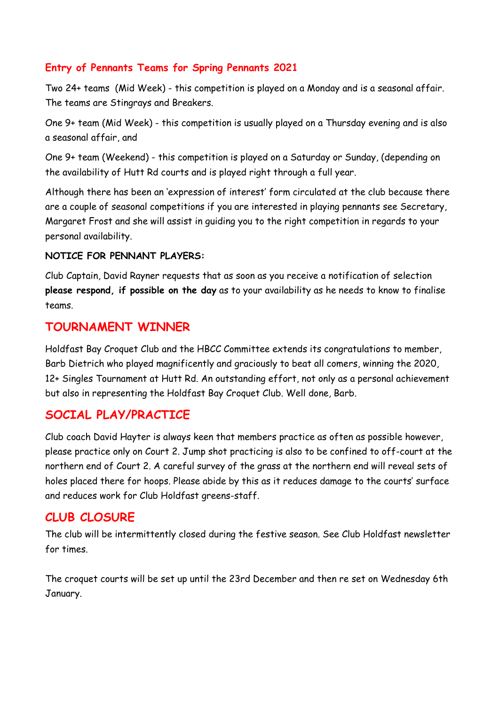### Entry of Pennants Teams for Spring Pennants 2021

Two 24+ teams (Mid Week) - this competition is played on a Monday and is a seasonal affair. The teams are Stingrays and Breakers.

One 9+ team (Mid Week) - this competition is usually played on a Thursday evening and is also a seasonal affair, and

One 9+ team (Weekend) - this competition is played on a Saturday or Sunday, (depending on the availability of Hutt Rd courts and is played right through a full year.

Although there has been an 'expression of interest' form circulated at the club because there are a couple of seasonal competitions if you are interested in playing pennants see Secretary, Margaret Frost and she will assist in guiding you to the right competition in regards to your personal availability.

#### NOTICE FOR PENNANT PLAYERS:

Club Captain, David Rayner requests that as soon as you receive a notification of selection please respond, if possible on the day as to your availability as he needs to know to finalise teams.

## TOURNAMENT WINNER

Holdfast Bay Croquet Club and the HBCC Committee extends its congratulations to member, Barb Dietrich who played magnificently and graciously to beat all comers, winning the 2020, 12+ Singles Tournament at Hutt Rd. An outstanding effort, not only as a personal achievement but also in representing the Holdfast Bay Croquet Club. Well done, Barb.

# SOCIAL PLAY/PRACTICE

Club coach David Hayter is always keen that members practice as often as possible however, please practice only on Court 2. Jump shot practicing is also to be confined to off-court at the northern end of Court 2. A careful survey of the grass at the northern end will reveal sets of holes placed there for hoops. Please abide by this as it reduces damage to the courts' surface and reduces work for Club Holdfast greens-staff.

## CLUB CLOSURE

The club will be intermittently closed during the festive season. See Club Holdfast newsletter for times.

The croquet courts will be set up until the 23rd December and then re set on Wednesday 6th January.